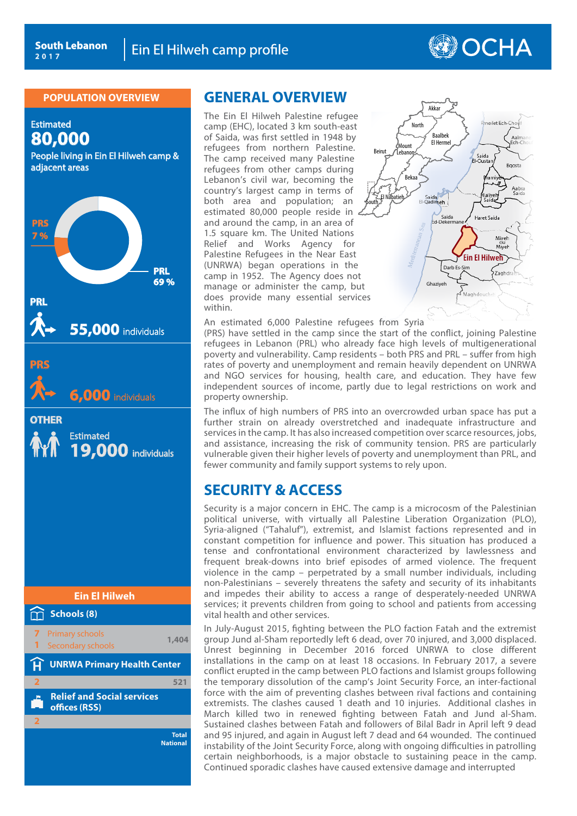# **OCHA**

#### **POPULATION OVERVIEW**

Estimated **80,000** People living in Ein El Hilweh camp &

adjacent areas



**Total National**

## **GENERAL OVERVIEW**

Ein El Hilweh camp profile<br>
WIEW GENERAL OVERVIEW<br>
The Ein El Hilweh Palestine refugee<br>
camp (EHC), located 3 km south-east<br>
of Saida, was first settled in 1948 by<br>
refugees from northern Palestine.<br>
The camp received many The Ein El Hilweh Palestine refugee camp (EHC), located 3 km south-east of Saida, was first settled in 1948 by refugees from northern Palestine. The camp received many Palestine refugees from other camps during Lebanon's civil war, becoming the country's largest camp in terms of both area and population; an estimated 80,000 people reside in and around the camp, in an area of 1.5 square km. The United Nations Relief and Works Agency for Palestine Refugees in the Near East (UNRWA) began operations in the camp in 1952. The Agency does not manage or administer the camp, but does provide many essential services within.



An estimated 6,000 Palestine refugees from Syria

(PRS) have settled in the camp since the start of the conflict, joining Palestine refugees in Lebanon (PRL) who already face high levels of multigenerational poverty and vulnerability. Camp residents – both PRS and PRL – suffer from high rates of poverty and unemployment and remain heavily dependent on UNRWA and NGO services for housing, health care, and education. They have few independent sources of income, partly due to legal restrictions on work and property ownership.

The influx of high numbers of PRS into an overcrowded urban space has put a further strain on already overstretched and inadequate infrastructure and services in the camp. It has also increased competition over scarce resources, jobs, and assistance, increasing the risk of community tension. PRS are particularly vulnerable given their higher levels of poverty and unemployment than PRL, and fewer community and family support systems to rely upon.

# **SECURITY & ACCESS**

Security is a major concern in EHC. The camp is a microcosm of the Palestinian political universe, with virtually all Palestine Liberation Organization (PLO), Syria-aligned ("Tahaluf"), extremist, and Islamist factions represented and in constant competition for influence and power. This situation has produced a tense and confrontational environment characterized by lawlessness and frequent break-downs into brief episodes of armed violence. The frequent violence in the camp – perpetrated by a small number individuals, including non-Palestinians – severely threatens the safety and security of its inhabitants and impedes their ability to access a range of desperately-needed UNRWA services; it prevents children from going to school and patients from accessing vital health and other services.

In July-August 2015, fighting between the PLO faction Fatah and the extremist group Jund al-Sham reportedly left 6 dead, over 70 injured, and 3,000 displaced. Unrest beginning in December 2016 forced UNRWA to close different installations in the camp on at least 18 occasions. In February 2017, a severe conflict erupted in the camp between PLO factions and Islamist groups following the temporary dissolution of the camp's Joint Security Force, an inter-factional force with the aim of preventing clashes between rival factions and containing extremists. The clashes caused 1 death and 10 injuries. Additional clashes in March killed two in renewed fighting between Fatah and Jund al-Sham. Sustained clashes between Fatah and followers of Bilal Badr in April left 9 dead and 95 injured, and again in August left 7 dead and 64 wounded. The continued instability of the Joint Security Force, along with ongoing difficulties in patrolling certain neighborhoods, is a major obstacle to sustaining peace in the camp. Continued sporadic clashes have caused extensive damage and interrupted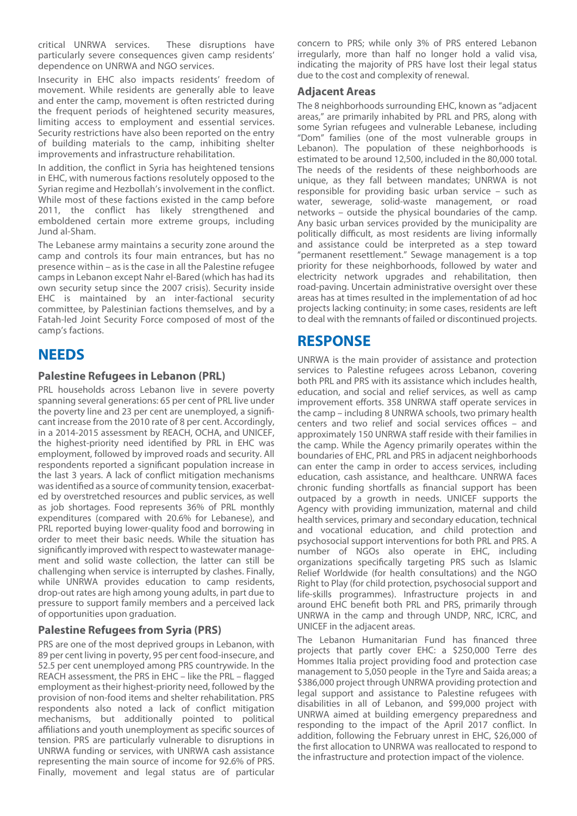critical UNRWA services. These disruptions have particularly severe consequences given camp residents' dependence on UNRWA and NGO services.

Insecurity in EHC also impacts residents' freedom of movement. While residents are generally able to leave and enter the camp, movement is often restricted during the frequent periods of heightened security measures, limiting access to employment and essential services. Security restrictions have also been reported on the entry of building materials to the camp, inhibiting shelter improvements and infrastructure rehabilitation.

In addition, the conflict in Syria has heightened tensions in EHC, with numerous factions resolutely opposed to the Syrian regime and Hezbollah's involvement in the conflict. While most of these factions existed in the camp before 2011, the conflict has likely strengthened and emboldened certain more extreme groups, including Jund al-Sham.

The Lebanese army maintains a security zone around the camp and controls its four main entrances, but has no presence within – as is the case in all the Palestine refugee camps in Lebanon except Nahr el-Bared (which has had its own security setup since the 2007 crisis). Security inside EHC is maintained by an inter-factional security committee, by Palestinian factions themselves, and by a Fatah-led Joint Security Force composed of most of the camp's factions.

# **NEEDS**

## **Palestine Refugees in Lebanon (PRL)**

PRL households across Lebanon live in severe poverty spanning several generations: 65 per cent of PRL live under the poverty line and 23 per cent are unemployed, a significant increase from the 2010 rate of 8 per cent. Accordingly, in a 2014-2015 assessment by REACH, OCHA, and UNICEF, the highest-priority need identified by PRL in EHC was employment, followed by improved roads and security. All respondents reported a significant population increase in the last 3 years. A lack of conflict mitigation mechanisms was identified as a source of community tension, exacerbated by overstretched resources and public services, as well as job shortages. Food represents 36% of PRL monthly expenditures (compared with 20.6% for Lebanese), and PRL reported buying lower-quality food and borrowing in order to meet their basic needs. While the situation has significantly improved with respect to wastewater management and solid waste collection, the latter can still be challenging when service is interrupted by clashes. Finally, while UNRWA provides education to camp residents, drop-out rates are high among young adults, in part due to pressure to support family members and a perceived lack of opportunities upon graduation.

## **Palestine Refugees from Syria (PRS)**

PRS are one of the most deprived groups in Lebanon, with 89 per cent living in poverty, 95 per cent food-insecure, and 52.5 per cent unemployed among PRS countrywide. In the REACH assessment, the PRS in EHC – like the PRL – flagged employment as their highest-priority need, followed by the provision of non-food items and shelter rehabilitation. PRS respondents also noted a lack of conflict mitigation mechanisms, but additionally pointed to political affiliations and youth unemployment as specific sources of tension. PRS are particularly vulnerable to disruptions in UNRWA funding or services, with UNRWA cash assistance representing the main source of income for 92.6% of PRS. Finally, movement and legal status are of particular concern to PRS; while only 3% of PRS entered Lebanon irregularly, more than half no longer hold a valid visa, indicating the majority of PRS have lost their legal status due to the cost and complexity of renewal.

### **Adjacent Areas**

The 8 neighborhoods surrounding EHC, known as "adjacent areas," are primarily inhabited by PRL and PRS, along with some Syrian refugees and vulnerable Lebanese, including "Dom" families (one of the most vulnerable groups in Lebanon). The population of these neighborhoods is estimated to be around 12,500, included in the 80,000 total. The needs of the residents of these neighborhoods are unique, as they fall between mandates; UNRWA is not responsible for providing basic urban service – such as water, sewerage, solid-waste management, or road networks – outside the physical boundaries of the camp. Any basic urban services provided by the municipality are politically difficult, as most residents are living informally and assistance could be interpreted as a step toward "permanent resettlement." Sewage management is a top priority for these neighborhoods, followed by water and electricity network upgrades and rehabilitation, then road-paving. Uncertain administrative oversight over these areas has at times resulted in the implementation of ad hoc projects lacking continuity; in some cases, residents are left to deal with the remnants of failed or discontinued projects.

## **RESPONSE**

UNRWA is the main provider of assistance and protection services to Palestine refugees across Lebanon, covering both PRL and PRS with its assistance which includes health, education, and social and relief services, as well as camp improvement efforts. 358 UNRWA staff operate services in the camp – including 8 UNRWA schools, two primary health centers and two relief and social services offices – and approximately 150 UNRWA staff reside with their families in the camp. While the Agency primarily operates within the boundaries of EHC, PRL and PRS in adjacent neighborhoods can enter the camp in order to access services, including education, cash assistance, and healthcare. UNRWA faces chronic funding shortfalls as financial support has been outpaced by a growth in needs. UNICEF supports the Agency with providing immunization, maternal and child health services, primary and secondary education, technical and vocational education, and child protection and psychosocial support interventions for both PRL and PRS. A number of NGOs also operate in EHC, including organizations specifically targeting PRS such as Islamic Relief Worldwide (for health consultations) and the NGO Right to Play (for child protection, psychosocial support and life-skills programmes). Infrastructure projects in and around EHC benefit both PRL and PRS, primarily through UNRWA in the camp and through UNDP, NRC, ICRC, and UNICEF in the adjacent areas.

The Lebanon Humanitarian Fund has financed three projects that partly cover EHC: a \$250,000 Terre des Hommes Italia project providing food and protection case management to 5,050 people in the Tyre and Saida areas; a \$386,000 project through UNRWA providing protection and legal support and assistance to Palestine refugees with disabilities in all of Lebanon, and \$99,000 project with UNRWA aimed at building emergency preparedness and responding to the impact of the April 2017 conflict. In addition, following the February unrest in EHC, \$26,000 of the first allocation to UNRWA was reallocated to respond to the infrastructure and protection impact of the violence.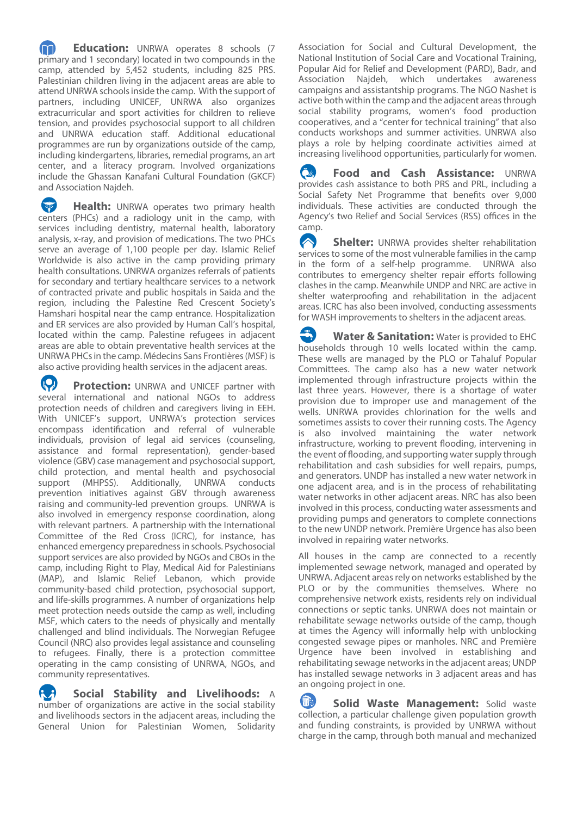**Education:** UNRWA operates 8 schools (7 primary and 1 secondary) located in two compounds in the camp, attended by 5,452 students, including 825 PRS. Palestinian children living in the adjacent areas are able to attend UNRWA schools inside the camp. With the support of partners, including UNICEF, UNRWA also organizes extracurricular and sport activities for children to relieve tension, and provides psychosocial support to all children and UNRWA education staff. Additional educational programmes are run by organizations outside of the camp, including kindergartens, libraries, remedial programs, an art center, and a literacy program. Involved organizations include the Ghassan Kanafani Cultural Foundation (GKCF) and Association Najdeh.

**Health:** UNRWA operates two primary health centers (PHCs) and a radiology unit in the camp, with services including dentistry, maternal health, laboratory analysis, x-ray, and provision of medications. The two PHCs serve an average of 1,100 people per day. Islamic Relief Worldwide is also active in the camp providing primary health consultations. UNRWA organizes referrals of patients for secondary and tertiary healthcare services to a network of contracted private and public hospitals in Saida and the region, including the Palestine Red Crescent Society's Hamshari hospital near the camp entrance. Hospitalization and ER services are also provided by Human Call's hospital, located within the camp. Palestine refugees in adjacent areas are able to obtain preventative health services at the UNRWA PHCs in the camp. Médecins Sans Frontières (MSF) is also active providing health services in the adjacent areas.

**Protection:** UNRWA and UNICEF partner with several international and national NGOs to address protection needs of children and caregivers living in EEH. With UNICEF's support, UNRWA's protection services encompass identification and referral of vulnerable individuals, provision of legal aid services (counseling, assistance and formal representation), gender-based violence (GBV) case management and psychosocial support, child protection, and mental health and psychosocial support (MHPSS). Additionally, UNRWA conducts prevention initiatives against GBV through awareness raising and community-led prevention groups. UNRWA is also involved in emergency response coordination, along with relevant partners. A partnership with the International Committee of the Red Cross (ICRC), for instance, has enhanced emergency preparedness in schools. Psychosocial support services are also provided by NGOs and CBOs in the camp, including Right to Play, Medical Aid for Palestinians (MAP), and Islamic Relief Lebanon, which provide community-based child protection, psychosocial support, and life-skills programmes. A number of organizations help meet protection needs outside the camp as well, including MSF, which caters to the needs of physically and mentally challenged and blind individuals. The Norwegian Refugee Council (NRC) also provides legal assistance and counseling to refugees. Finally, there is a protection committee operating in the camp consisting of UNRWA, NGOs, and community representatives.

**8** Social Stability and Livelihoods: A number of organizations are active in the social stability and livelihoods sectors in the adjacent areas, including the General Union for Palestinian Women, Solidarity

Association for Social and Cultural Development, the National Institution of Social Care and Vocational Training, Popular Aid for Relief and Development (PARD), Badr, and Association Najdeh, which undertakes awareness campaigns and assistantship programs. The NGO Nashet is active both within the camp and the adjacent areas through social stability programs, women's food production cooperatives, and a "center for technical training" that also conducts workshops and summer activities. UNRWA also plays a role by helping coordinate activities aimed at increasing livelihood opportunities, particularly for women.

 **Food and Cash Assistance:** UNRWA provides cash assistance to both PRS and PRL, including a Social Safety Net Programme that benefits over 9,000 individuals. These activities are conducted through the Agency's two Relief and Social Services (RSS) offices in the camp.

**Shelter:** UNRWA provides shelter rehabilitation services to some of the most vulnerable families in the camp in the form of a self-help programme. UNRWA also contributes to emergency shelter repair efforts following clashes in the camp. Meanwhile UNDP and NRC are active in shelter waterproofing and rehabilitation in the adjacent areas. ICRC has also been involved, conducting assessments for WASH improvements to shelters in the adjacent areas.

**Water & Sanitation:** Water is provided to EHC households through 10 wells located within the camp. These wells are managed by the PLO or Tahaluf Popular Committees. The camp also has a new water network implemented through infrastructure projects within the last three years. However, there is a shortage of water provision due to improper use and management of the wells. UNRWA provides chlorination for the wells and sometimes assists to cover their running costs. The Agency is also involved maintaining the water network infrastructure, working to prevent flooding, intervening in the event of flooding, and supporting water supply through rehabilitation and cash subsidies for well repairs, pumps, and generators. UNDP has installed a new water network in one adjacent area, and is in the process of rehabilitating water networks in other adjacent areas. NRC has also been involved in this process, conducting water assessments and providing pumps and generators to complete connections to the new UNDP network. Première Urgence has also been involved in repairing water networks.

All houses in the camp are connected to a recently implemented sewage network, managed and operated by UNRWA. Adjacent areas rely on networks established by the PLO or by the communities themselves. Where no comprehensive network exists, residents rely on individual connections or septic tanks. UNRWA does not maintain or rehabilitate sewage networks outside of the camp, though at times the Agency will informally help with unblocking congested sewage pipes or manholes. NRC and Première Urgence have been involved in establishing and rehabilitating sewage networks in the adjacent areas; UNDP has installed sewage networks in 3 adjacent areas and has an ongoing project in one.

**Solid Waste Management: Solid waste** collection, a particular challenge given population growth and funding constraints, is provided by UNRWA without charge in the camp, through both manual and mechanized